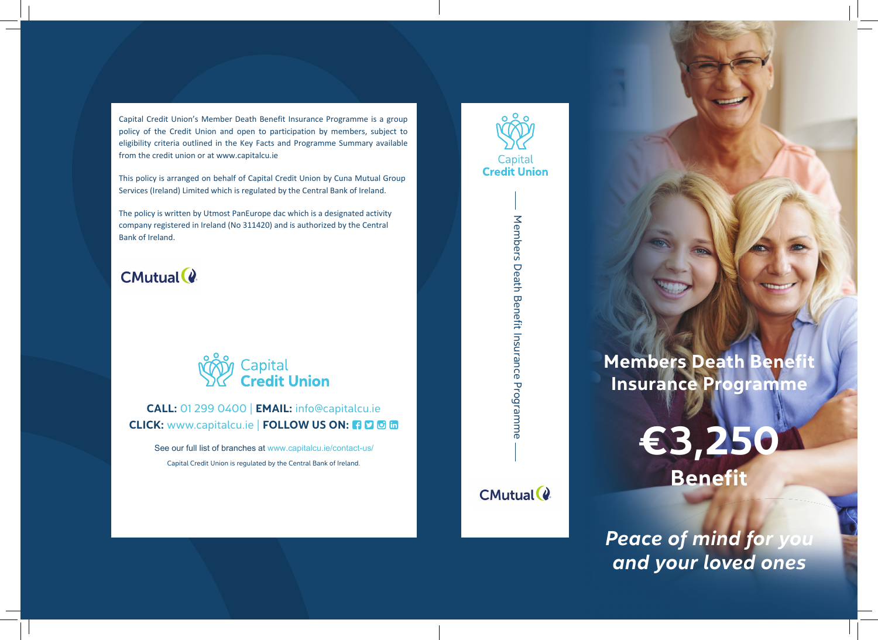Capital Credit Union's Member Death Benefit Insurance Programme is a group policy of the Credit Union and open to participation by members, subject to eligibility criteria outlined in the Key Facts and Programme Summary available from the credit union or at www.capitalcu.ie

This policy is arranged on behalf of Capital Credit Union by Cuna Mutual Group Services (Ireland) Limited which is regulated by the Central Bank of Ireland.

The policy is written by Utmost PanEurope dac which is a designated activity company registered in Ireland (No 311420) and is authorized by the Central Bank of Ireland.

# **CMutual (2)**



## CALL: 01 299 0400 | EMAIL: info@capitalcu.ie CLICK: www.capitalcu.ie | FOLLOW US ON: 3 0 6 m

Capital Credit Union is regulated by the Central Bank of Ireland. See our full list of branches at www.capitalcu.ie/contact-us/

CMutual (2

Members Death Benefit Insurance Programme

Members Death Benefit Insurance Programme



**Members Death Benefit** Insurance Programme

> €3,250 Benefit

Peace of mind for you and your loved ones